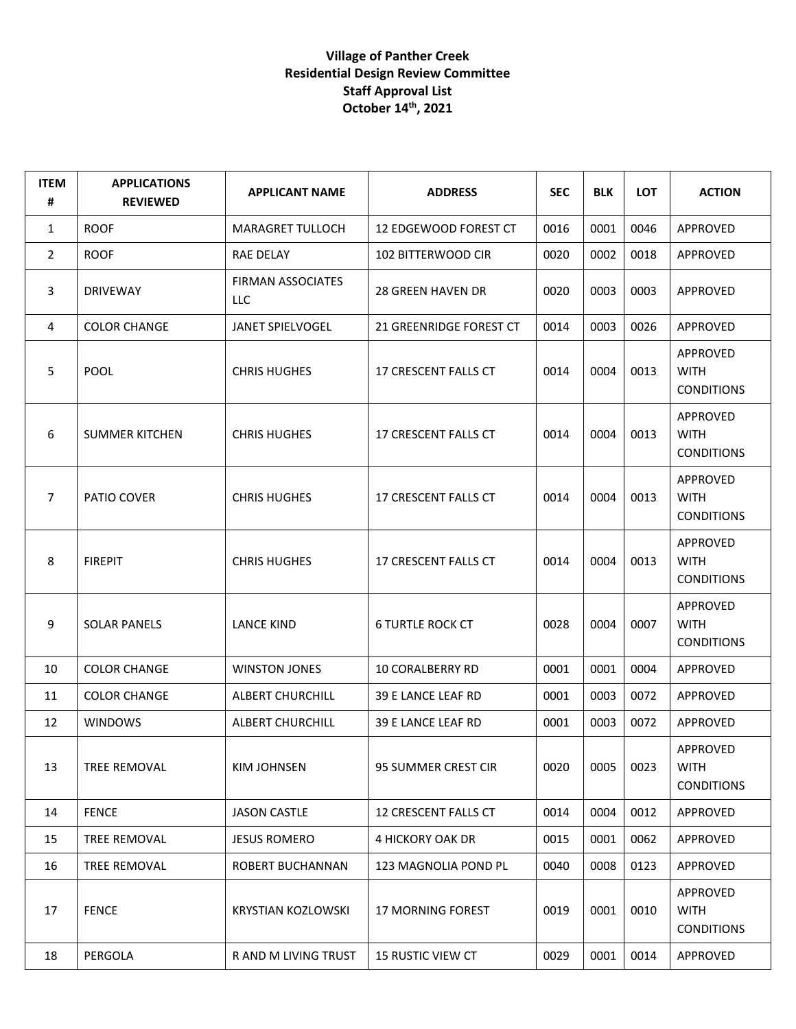## **Village of Panther Creek Residential Design Review Committee Staff Approval List October 14th, 2021**

| <b>ITEM</b><br># | <b>APPLICATIONS</b><br><b>REVIEWED</b> | <b>APPLICANT NAME</b>           | <b>ADDRESS</b>           | <b>SEC</b> | <b>BLK</b> | <b>LOT</b> | <b>ACTION</b>                                       |
|------------------|----------------------------------------|---------------------------------|--------------------------|------------|------------|------------|-----------------------------------------------------|
| $\mathbf{1}$     | <b>ROOF</b>                            | <b>MARAGRET TULLOCH</b>         | 12 EDGEWOOD FOREST CT    | 0016       | 0001       | 0046       | APPROVED                                            |
| $\overline{2}$   | <b>ROOF</b>                            | RAE DELAY                       | 102 BITTERWOOD CIR       | 0020       | 0002       | 0018       | APPROVED                                            |
| 3                | <b>DRIVEWAY</b>                        | <b>FIRMAN ASSOCIATES</b><br>LLC | <b>28 GREEN HAVEN DR</b> | 0020       | 0003       | 0003       | APPROVED                                            |
| 4                | <b>COLOR CHANGE</b>                    | JANET SPIELVOGEL                | 21 GREENRIDGE FOREST CT  | 0014       | 0003       | 0026       | APPROVED                                            |
| 5                | <b>POOL</b>                            | <b>CHRIS HUGHES</b>             | 17 CRESCENT FALLS CT     | 0014       | 0004       | 0013       | <b>APPROVED</b><br><b>WITH</b><br><b>CONDITIONS</b> |
| 6                | <b>SUMMER KITCHEN</b>                  | <b>CHRIS HUGHES</b>             | 17 CRESCENT FALLS CT     | 0014       | 0004       | 0013       | APPROVED<br><b>WITH</b><br><b>CONDITIONS</b>        |
| $\overline{7}$   | PATIO COVER                            | <b>CHRIS HUGHES</b>             | 17 CRESCENT FALLS CT     | 0014       | 0004       | 0013       | <b>APPROVED</b><br><b>WITH</b><br><b>CONDITIONS</b> |
| 8                | <b>FIREPIT</b>                         | <b>CHRIS HUGHES</b>             | 17 CRESCENT FALLS CT     | 0014       | 0004       | 0013       | APPROVED<br><b>WITH</b><br><b>CONDITIONS</b>        |
| 9                | <b>SOLAR PANELS</b>                    | LANCE KIND                      | <b>6 TURTLE ROCK CT</b>  | 0028       | 0004       | 0007       | APPROVED<br><b>WITH</b><br><b>CONDITIONS</b>        |
| 10               | <b>COLOR CHANGE</b>                    | <b>WINSTON JONES</b>            | 10 CORALBERRY RD         | 0001       | 0001       | 0004       | APPROVED                                            |
| 11               | <b>COLOR CHANGE</b>                    | <b>ALBERT CHURCHILL</b>         | 39 E LANCE LEAF RD       | 0001       | 0003       | 0072       | APPROVED                                            |
| 12               | <b>WINDOWS</b>                         | ALBERT CHURCHILL                | 39 E LANCE LEAF RD       | 0001       | 0003       | 0072       | APPROVED                                            |
| 13               | TREE REMOVAL                           | KIM JOHNSEN                     | 95 SUMMER CREST CIR      | 0020       | 0005       | 0023       | APPROVED<br><b>WITH</b><br><b>CONDITIONS</b>        |
| 14               | <b>FENCE</b>                           | <b>JASON CASTLE</b>             | 12 CRESCENT FALLS CT     | 0014       | 0004       | 0012       | APPROVED                                            |
| 15               | TREE REMOVAL                           | <b>JESUS ROMERO</b>             | 4 HICKORY OAK DR         | 0015       | 0001       | 0062       | APPROVED                                            |
| 16               | TREE REMOVAL                           | ROBERT BUCHANNAN                | 123 MAGNOLIA POND PL     | 0040       | 0008       | 0123       | APPROVED                                            |
| 17               | <b>FENCE</b>                           | KRYSTIAN KOZLOWSKI              | <b>17 MORNING FOREST</b> | 0019       | 0001       | 0010       | APPROVED<br>WITH<br><b>CONDITIONS</b>               |
| 18               | PERGOLA                                | R AND M LIVING TRUST            | 15 RUSTIC VIEW CT        | 0029       | 0001       | 0014       | APPROVED                                            |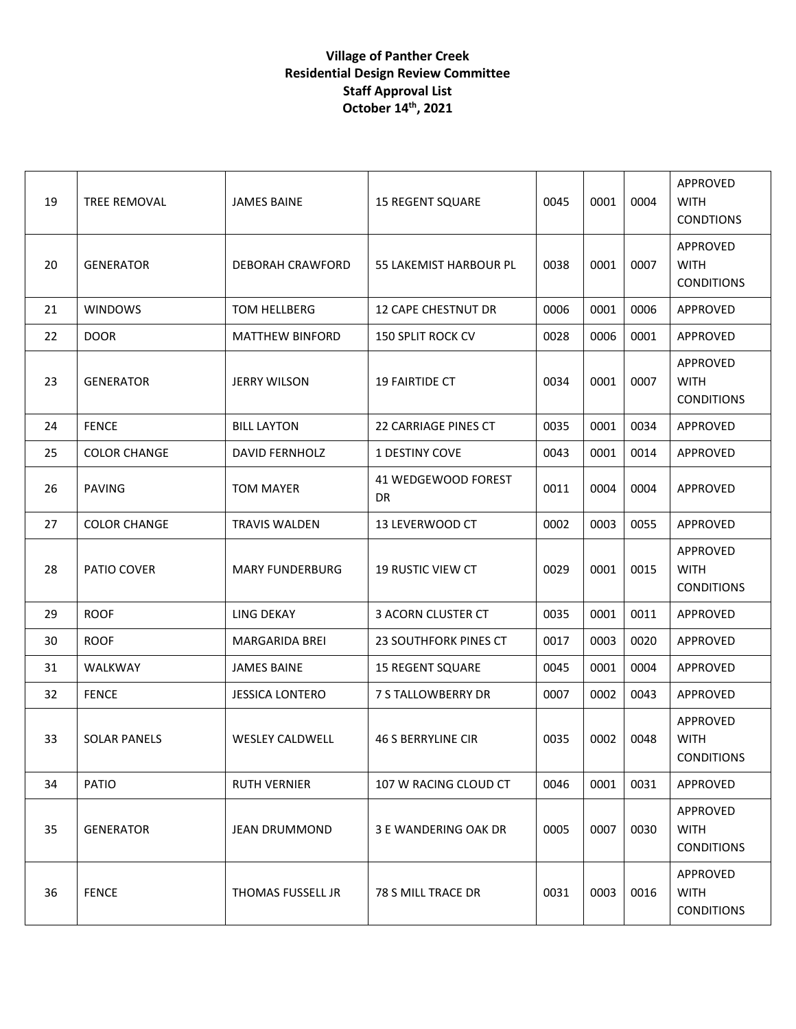## **Village of Panther Creek Residential Design Review Committee Staff Approval List October 14th, 2021**

| 19 | TREE REMOVAL        | <b>JAMES BAINE</b>     | <b>15 REGENT SQUARE</b>      | 0045 | 0001 | 0004 | APPROVED<br><b>WITH</b><br><b>CONDTIONS</b>  |
|----|---------------------|------------------------|------------------------------|------|------|------|----------------------------------------------|
| 20 | <b>GENERATOR</b>    | DEBORAH CRAWFORD       | 55 LAKEMIST HARBOUR PL       | 0038 | 0001 | 0007 | APPROVED<br><b>WITH</b><br><b>CONDITIONS</b> |
| 21 | <b>WINDOWS</b>      | TOM HELLBERG           | <b>12 CAPE CHESTNUT DR</b>   | 0006 | 0001 | 0006 | APPROVED                                     |
| 22 | <b>DOOR</b>         | <b>MATTHEW BINFORD</b> | <b>150 SPLIT ROCK CV</b>     | 0028 | 0006 | 0001 | APPROVED                                     |
| 23 | <b>GENERATOR</b>    | <b>JERRY WILSON</b>    | <b>19 FAIRTIDE CT</b>        | 0034 | 0001 | 0007 | APPROVED<br><b>WITH</b><br><b>CONDITIONS</b> |
| 24 | <b>FENCE</b>        | <b>BILL LAYTON</b>     | <b>22 CARRIAGE PINES CT</b>  | 0035 | 0001 | 0034 | APPROVED                                     |
| 25 | <b>COLOR CHANGE</b> | <b>DAVID FERNHOLZ</b>  | <b>1 DESTINY COVE</b>        | 0043 | 0001 | 0014 | APPROVED                                     |
| 26 | <b>PAVING</b>       | <b>TOM MAYER</b>       | 41 WEDGEWOOD FOREST<br>DR    | 0011 | 0004 | 0004 | APPROVED                                     |
| 27 | <b>COLOR CHANGE</b> | <b>TRAVIS WALDEN</b>   | 13 LEVERWOOD CT              | 0002 | 0003 | 0055 | APPROVED                                     |
| 28 | PATIO COVER         | <b>MARY FUNDERBURG</b> | <b>19 RUSTIC VIEW CT</b>     | 0029 | 0001 | 0015 | APPROVED<br><b>WITH</b><br><b>CONDITIONS</b> |
| 29 | <b>ROOF</b>         | <b>LING DEKAY</b>      | 3 ACORN CLUSTER CT           | 0035 | 0001 | 0011 | APPROVED                                     |
| 30 | <b>ROOF</b>         | <b>MARGARIDA BREI</b>  | <b>23 SOUTHFORK PINES CT</b> | 0017 | 0003 | 0020 | APPROVED                                     |
| 31 | WALKWAY             | <b>JAMES BAINE</b>     | <b>15 REGENT SQUARE</b>      | 0045 | 0001 | 0004 | APPROVED                                     |
| 32 | <b>FENCE</b>        | <b>JESSICA LONTERO</b> | 7 S TALLOWBERRY DR           | 0007 | 0002 | 0043 | APPROVED                                     |
| 33 | <b>SOLAR PANELS</b> | <b>WESLEY CALDWELL</b> | <b>46 S BERRYLINE CIR</b>    | 0035 | 0002 | 0048 | APPROVED<br><b>WITH</b><br><b>CONDITIONS</b> |
| 34 | <b>PATIO</b>        | <b>RUTH VERNIER</b>    | 107 W RACING CLOUD CT        | 0046 | 0001 | 0031 | APPROVED                                     |
| 35 | <b>GENERATOR</b>    | <b>JEAN DRUMMOND</b>   | 3 E WANDERING OAK DR         | 0005 | 0007 | 0030 | APPROVED<br><b>WITH</b><br><b>CONDITIONS</b> |
| 36 | <b>FENCE</b>        | THOMAS FUSSELL JR      | 78 S MILL TRACE DR           | 0031 | 0003 | 0016 | APPROVED<br><b>WITH</b><br><b>CONDITIONS</b> |